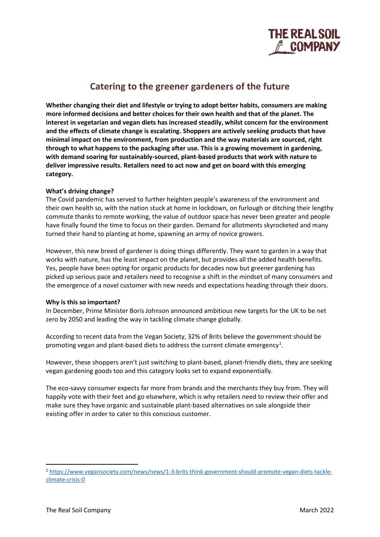

# **Catering to the greener gardeners of the future**

**Whether changing their diet and lifestyle or trying to adopt better habits, consumers are making more informed decisions and better choices for their own health and that of the planet. The interest in vegetarian and vegan diets has increased steadily, whilst concern for the environment and the effects of climate change is escalating. Shoppers are actively seeking products that have minimal impact on the environment, from production and the way materials are sourced, right through to what happens to the packaging after use. This is a growing movement in gardening, with demand soaring for sustainably-sourced, plant-based products that work with nature to deliver impressive results. Retailers need to act now and get on board with this emerging category.**

# **What's driving change?**

The Covid pandemic has served to further heighten people's awareness of the environment and their own health so, with the nation stuck at home in lockdown, on furlough or ditching their lengthy commute thanks to remote working, the value of outdoor space has never been greater and people have finally found the time to focus on their garden. Demand for allotments skyrocketed and many turned their hand to planting at home, spawning an army of novice growers.

However, this new breed of gardener is doing things differently. They want to garden in a way that works with nature, has the least impact on the planet, but provides all the added health benefits. Yes, people have been opting for organic products for decades now but greener gardening has picked up serious pace and retailers need to recognise a shift in the mindset of many consumers and the emergence of a novel customer with new needs and expectations heading through their doors.

# **Why is this so important?**

In December, Prime Minister Boris Johnson announced ambitious new targets for the UK to be net zero by 2050 and leading the way in tackling climate change globally.

According to recent data from the Vegan Society, 32% of Brits believe the government should be promoting vegan and plant-based diets to address the current climate emergency<sup>[1](#page-0-0)</sup>.

However, these shoppers aren't just switching to plant-based, planet-friendly diets, they are seeking vegan gardening goods too and this category looks set to expand exponentially.

The eco-savvy consumer expects far more from brands and the merchants they buy from. They will happily vote with their feet and go elsewhere, which is why retailers need to review their offer and make sure they have organic and sustainable plant-based alternatives on sale alongside their existing offer in order to cater to this conscious customer.

<span id="page-0-0"></span><sup>1</sup> [https://www.vegansociety.com/news/news/1-3-brits-think-government-should-promote-vegan-diets-tackle](https://www.vegansociety.com/news/news/1-3-brits-think-government-should-promote-vegan-diets-tackle-climate-crisis-0)[climate-crisis-0](https://www.vegansociety.com/news/news/1-3-brits-think-government-should-promote-vegan-diets-tackle-climate-crisis-0)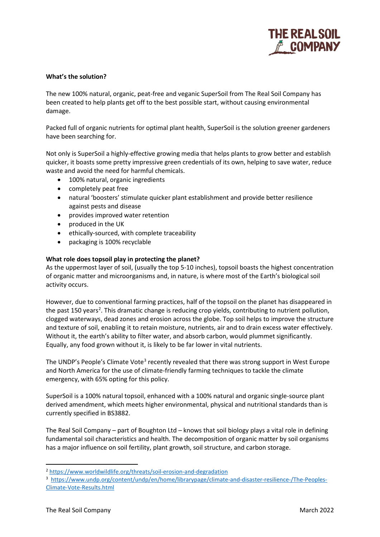

## **What's the solution?**

The new 100% natural, organic, peat-free and veganic SuperSoil from The Real Soil Company has been created to help plants get off to the best possible start, without causing environmental damage.

Packed full of organic nutrients for optimal plant health, SuperSoil is the solution greener gardeners have been searching for.

Not only is SuperSoil a highly-effective growing media that helps plants to grow better and establish quicker, it boasts some pretty impressive green credentials of its own, helping to save water, reduce waste and avoid the need for harmful chemicals.

- 100% natural, organic ingredients
- completely peat free
- natural 'boosters' stimulate quicker plant establishment and provide better resilience against pests and disease
- provides improved water retention
- produced in the UK
- ethically-sourced, with complete traceability
- packaging is 100% recyclable

### **What role does topsoil play in protecting the planet?**

As the uppermost layer of soil, (usually the top 5-10 inches), topsoil boasts the highest concentration of organic matter and microorganisms and, in nature, is where most of the Earth's biological soil activity occurs.

However, due to conventional farming practices, half of the topsoil on the planet has disappeared in the past 150 years<sup>[2](#page-1-0)</sup>. This dramatic change is reducing crop yields, contributing to nutrient pollution, clogged waterways, dead zones and erosion across the globe. Top soil helps to improve the structure and texture of soil, enabling it to retain moisture, nutrients, air and to drain excess water effectively. Without it, the earth's ability to filter water, and absorb carbon, would plummet significantly. Equally, any food grown without it, is likely to be far lower in vital nutrients.

The UNDP's People's Climate Vote<sup>[3](#page-1-1)</sup> recently revealed that there was strong support in West Europe and North America for the use of climate-friendly farming techniques to tackle the climate emergency, with 65% opting for this policy.

SuperSoil is a 100% natural topsoil, enhanced with a 100% natural and organic single-source plant derived amendment, which meets higher environmental, physical and nutritional standards than is currently specified in BS3882.

The Real Soil Company – part of Boughton Ltd – knows that soil biology plays a vital role in defining fundamental soil characteristics and health. The decomposition of organic matter by soil organisms has a major influence on soil fertility, plant growth, soil structure, and carbon storage.

<span id="page-1-0"></span><sup>2</sup> <https://www.worldwildlife.org/threats/soil-erosion-and-degradation>

<span id="page-1-1"></span><sup>&</sup>lt;sup>3</sup> [https://www.undp.org/content/undp/en/home/librarypage/climate-and-disaster-resilience-/The-Peoples-](https://www.undp.org/content/undp/en/home/librarypage/climate-and-disaster-resilience-/The-Peoples-Climate-Vote-Results.html)[Climate-Vote-Results.html](https://www.undp.org/content/undp/en/home/librarypage/climate-and-disaster-resilience-/The-Peoples-Climate-Vote-Results.html)